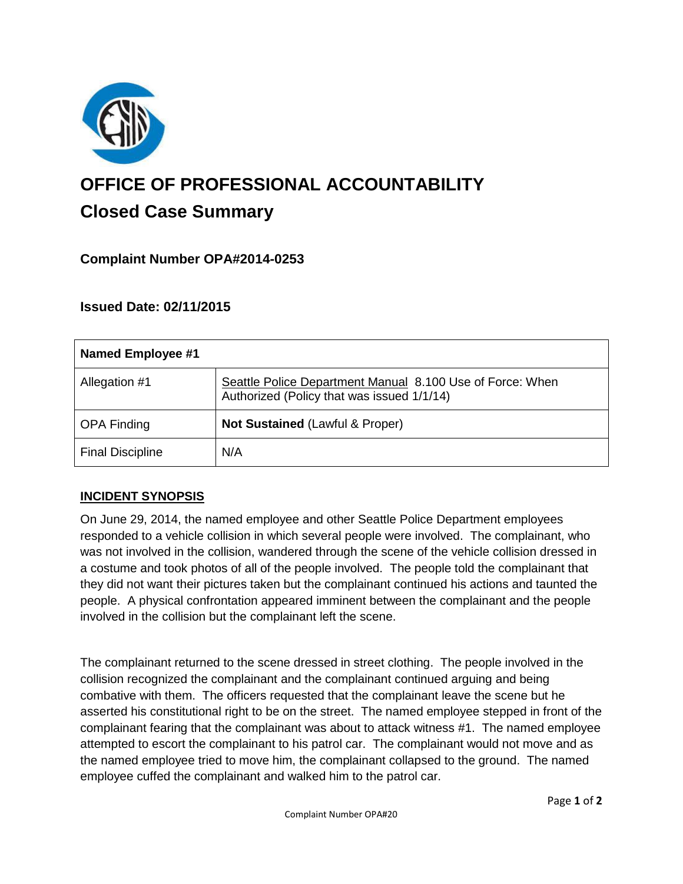

# **OFFICE OF PROFESSIONAL ACCOUNTABILITY Closed Case Summary**

## **Complaint Number OPA#2014-0253**

## **Issued Date: 02/11/2015**

| Named Employee #1       |                                                                                                         |
|-------------------------|---------------------------------------------------------------------------------------------------------|
| Allegation #1           | Seattle Police Department Manual 8.100 Use of Force: When<br>Authorized (Policy that was issued 1/1/14) |
| <b>OPA Finding</b>      | Not Sustained (Lawful & Proper)                                                                         |
| <b>Final Discipline</b> | N/A                                                                                                     |

## **INCIDENT SYNOPSIS**

On June 29, 2014, the named employee and other Seattle Police Department employees responded to a vehicle collision in which several people were involved. The complainant, who was not involved in the collision, wandered through the scene of the vehicle collision dressed in a costume and took photos of all of the people involved. The people told the complainant that they did not want their pictures taken but the complainant continued his actions and taunted the people. A physical confrontation appeared imminent between the complainant and the people involved in the collision but the complainant left the scene.

The complainant returned to the scene dressed in street clothing. The people involved in the collision recognized the complainant and the complainant continued arguing and being combative with them. The officers requested that the complainant leave the scene but he asserted his constitutional right to be on the street. The named employee stepped in front of the complainant fearing that the complainant was about to attack witness #1. The named employee attempted to escort the complainant to his patrol car. The complainant would not move and as the named employee tried to move him, the complainant collapsed to the ground. The named employee cuffed the complainant and walked him to the patrol car.